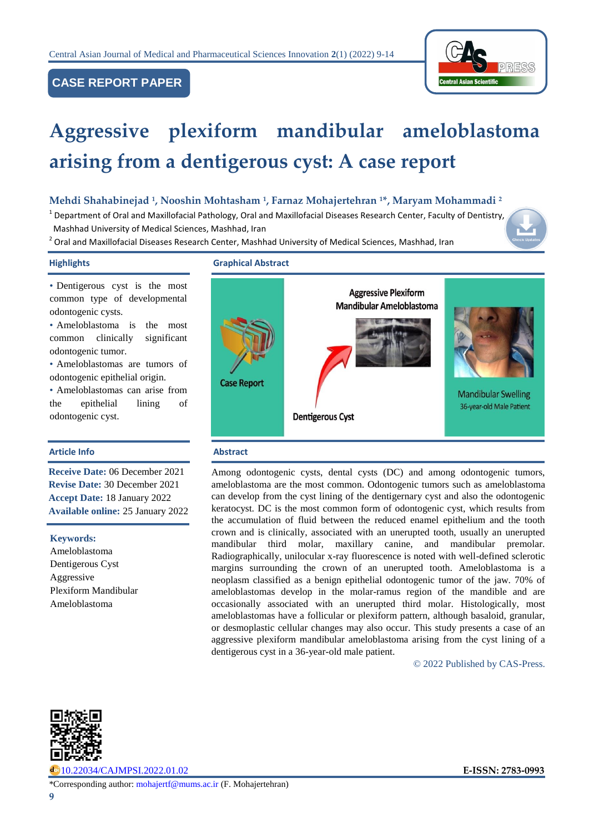

# **CASE REPORT PAPER**

# **Aggressive plexiform mandibular ameloblastoma arising from a dentigerous cyst: A case report**

## **Mehdi Shahabinejad <sup>1</sup> , Nooshin Mohtasham <sup>1</sup> , Farnaz Mohajertehran <sup>1</sup>\*, Maryam Mohammadi <sup>2</sup>**

<sup>1</sup> Department of Oral and Maxillofacial Pathology[,](https://www.cajmpsi.com/article_143416.html) Oral and Maxillofacial Diseases Research Center, Faculty of Dentistry, Mashhad University of Medical Sciences, Mashhad, Iran

<sup>2</sup> Oral and Maxillofacial Diseases Research Center, Mashhad University of Medical Sciences, Mashhad, Iran

#### **Highlights Graphical Abstract**

• Dentigerous cyst is the most common type of developmental odontogenic cysts.

• Ameloblastoma is the most common clinically significant odontogenic tumor.

• Ameloblastomas are tumors of odontogenic epithelial origin.

• Ameloblastomas can arise from the epithelial lining of odontogenic cyst.

#### **Article Info Abstract**

**Receive Date:** 06 December 2021 **Revise Date:** 30 December 2021 **Accept Date:** 18 January 2022 **Available online:** 25 January 2022

#### **Keywords:**

Ameloblastoma Dentigerous Cyst Aggressive Plexiform Mandibular Ameloblastoma



Among odontogenic cysts, dental cysts (DC) and among odontogenic tumors, ameloblastoma are the most common. Odontogenic tumors such as ameloblastoma can develop from the cyst lining of the dentigernary cyst and also the odontogenic keratocyst. DC is the most common form of odontogenic cyst, which results from the accumulation of fluid between the reduced enamel epithelium and the tooth crown and is clinically, associated with an unerupted tooth, usually an unerupted mandibular third molar, maxillary canine, and mandibular premolar. Radiographically, unilocular x-ray fluorescence is noted with well-defined sclerotic margins surrounding the crown of an unerupted tooth. Ameloblastoma is a neoplasm classified as a benign epithelial odontogenic tumor of the jaw. 70% of ameloblastomas develop in the molar-ramus region of the mandible and are occasionally associated with an unerupted third molar. Histologically, most ameloblastomas have a follicular or plexiform pattern, although basaloid, granular, or desmoplastic cellular changes may also occur. This study presents a case of an aggressive plexiform mandibular ameloblastoma arising from the cyst lining of a dentigerous cyst in a 36-year-old male patient.

© 2022 Published by CAS-Press.



[10.22034/CAJMPSI.2022.01.02](https://www.cajmpsi.com/article_143416.html) **E-ISSN: 2783-0993**

\*Corresponding author: [mohajertf@mums.ac.ir](mailto:mohajertf@mums.ac.ir) (F. Mohajertehran)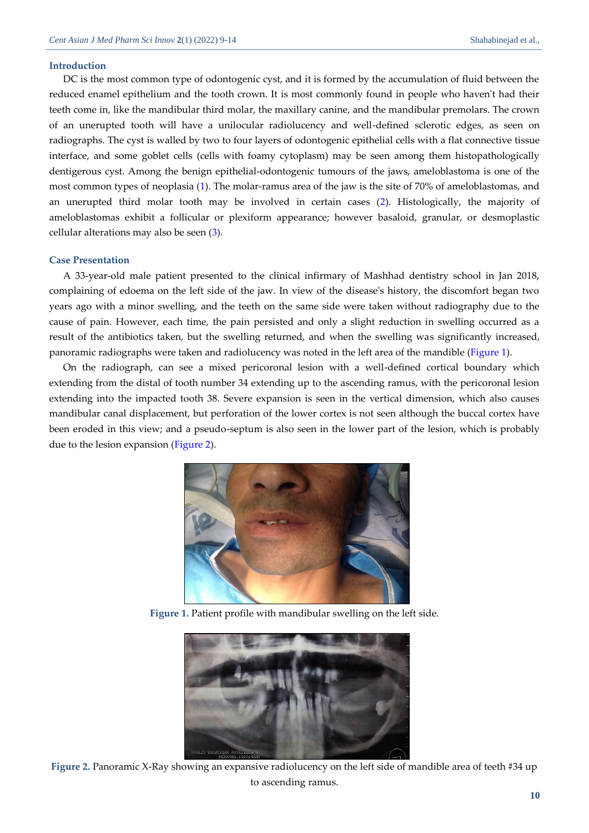#### **Introduction**

DC is the most common type of odontogenic cyst, and it is formed by the accumulation of fluid between the reduced enamel epithelium and the tooth crown. It is most commonly found in people who haven't had their teeth come in, like the mandibular third molar, the maxillary canine, and the mandibular premolars. The crown of an unerupted tooth will have a unilocular radiolucency and well-defined sclerotic edges, as seen on radiographs. The cyst is walled by two to four layers of odontogenic epithelial cells with a flat connective tissue interface, and some goblet cells (cells with foamy cytoplasm) may be seen among them histopathologically dentigerous cyst. Among the benign epithelial-odontogenic tumours of the jaws, ameloblastoma is one of the most common types of neoplasia [\(1\)](#page-5-0). The molar-ramus area of the jaw is the site of 70% of ameloblastomas, and an unerupted third molar tooth may be involved in certain cases [\(2\)](#page-5-1). Histologically, the majority of ameloblastomas exhibit a follicular or plexiform appearance; however basaloid, granular, or desmoplastic cellular alterations may also be seen [\(3\)](#page-5-2).

#### **Case Presentation**

A 33-year-old male patient presented to the clinical infirmary of Mashhad dentistry school in Jan 2018, complaining of edoema on the left side of the jaw. In view of the disease's history, the discomfort began two years ago with a minor swelling, and the teeth on the same side were taken without radiography due to the cause of pain. However, each time, the pain persisted and only a slight reduction in swelling occurred as a result of the antibiotics taken, but the swelling returned, and when the swelling was significantly increased, panoramic radiographs were taken and radiolucency was noted in the left area of the mandible [\(Figure 1\)](#page-1-0).

On the radiograph, can see a mixed pericoronal lesion with a well-defined cortical boundary which extending from the distal of tooth number 34 extending up to the ascending ramus, with the pericoronal lesion extending into the impacted tooth 38. Severe expansion is seen in the vertical dimension, which also causes mandibular canal displacement, but perforation of the lower cortex is not seen although the buccal cortex have been eroded in this view; and a pseudo-septum is also seen in the lower part of the lesion, which is probably due to the lesion expansion [\(Figure 2\)](#page-1-1).



**Figure 1.** Patient profile with mandibular swelling on the left side.

<span id="page-1-1"></span><span id="page-1-0"></span>

**Figure 2.** Panoramic X-Ray showing an expansive radiolucency on the left side of mandible area of teeth #34 up to ascending ramus.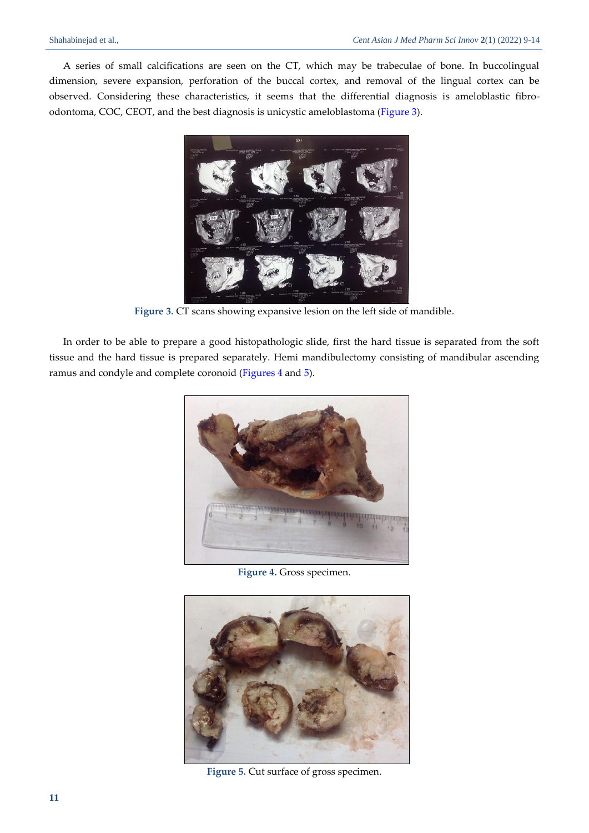A series of small calcifications are seen on the CT, which may be trabeculae of bone. In buccolingual dimension, severe expansion, perforation of the buccal cortex, and removal of the lingual cortex can be observed. Considering these characteristics, it seems that the differential diagnosis is ameloblastic fibroodontoma, COC, CEOT, and the best diagnosis is unicystic ameloblastoma [\(Figure 3\)](#page-2-0).



**Figure 3.** CT scans showing expansive lesion on the left side of mandible.

<span id="page-2-0"></span>In order to be able to prepare a good histopathologic slide, first the hard tissue is separated from the soft tissue and the hard tissue is prepared separately. Hemi mandibulectomy consisting of mandibular ascending ramus and condyle and complete coronoid [\(Figures 4](#page-2-1) and [5\)](#page-2-2).



**Figure 4.** Gross specimen.

<span id="page-2-2"></span><span id="page-2-1"></span>

**Figure 5.** Cut surface of gross specimen.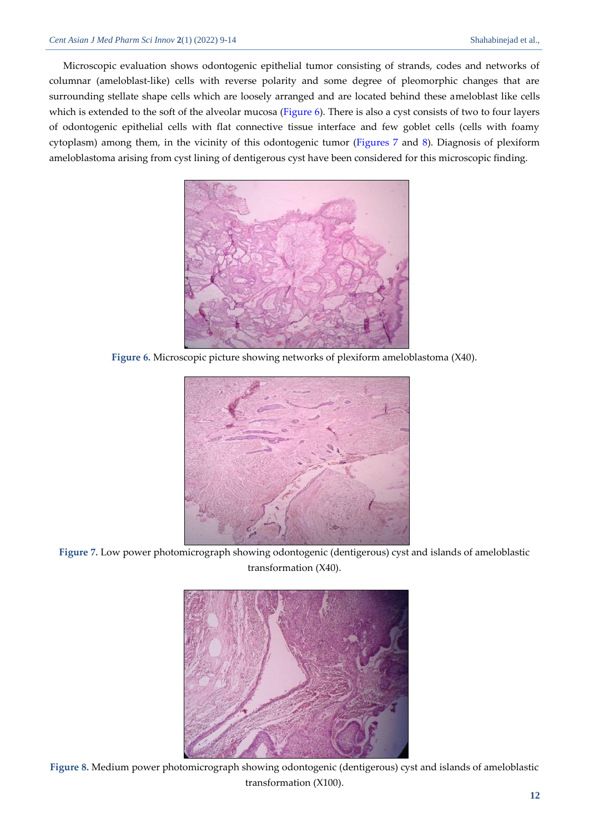Microscopic evaluation shows odontogenic epithelial tumor consisting of strands, codes and networks of columnar (ameloblast-like) cells with reverse polarity and some degree of pleomorphic changes that are surrounding stellate shape cells which are loosely arranged and are located behind these ameloblast like cells which is extended to the soft of the alveolar mucosa [\(Figure](#page-3-0) 6). There is also a cyst consists of two to four layers of odontogenic epithelial cells with flat connective tissue interface and few goblet cells (cells with foamy cytoplasm) among them, in the vicinity of this odontogenic tumor [\(Figures](#page-3-1) 7 and [8\)](#page-3-2). Diagnosis of plexiform ameloblastoma arising from cyst lining of dentigerous cyst have been considered for this microscopic finding.



**Figure 6.** Microscopic picture showing networks of plexiform ameloblastoma (X40).

<span id="page-3-0"></span>

**Figure 7.** Low power photomicrograph showing odontogenic (dentigerous) cyst and islands of ameloblastic transformation (X40).

<span id="page-3-2"></span><span id="page-3-1"></span>

**Figure 8.** Medium power photomicrograph showing odontogenic (dentigerous) cyst and islands of ameloblastic transformation (X100).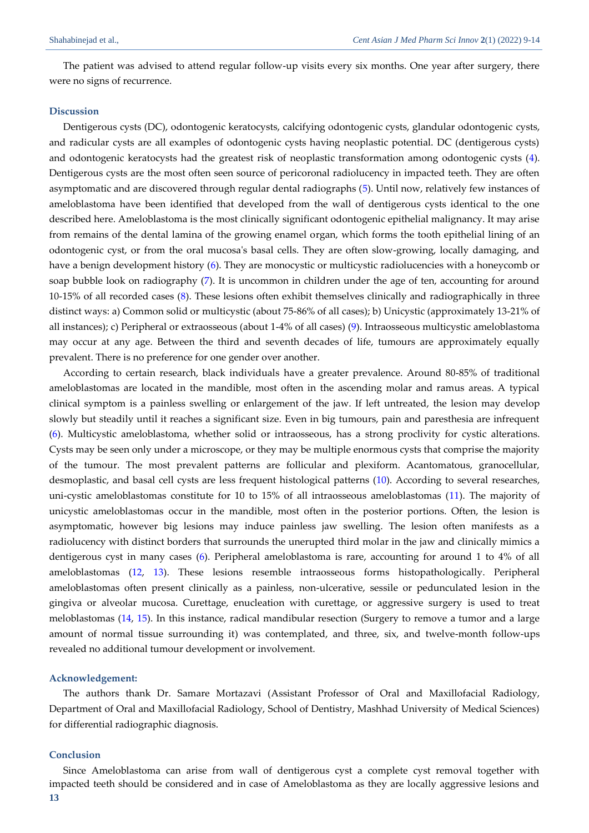The patient was advised to attend regular follow-up visits every six months. One year after surgery, there were no signs of recurrence.

#### **Discussion**

Dentigerous cysts (DC), odontogenic keratocysts, calcifying odontogenic cysts, glandular odontogenic cysts, and radicular cysts are all examples of odontogenic cysts having neoplastic potential. DC (dentigerous cysts) and odontogenic keratocysts had the greatest risk of neoplastic transformation among odontogenic cysts [\(4\)](#page-5-3). Dentigerous cysts are the most often seen source of pericoronal radiolucency in impacted teeth. They are often asymptomatic and are discovered through regular dental radiographs [\(5\)](#page-5-4). Until now, relatively few instances of ameloblastoma have been identified that developed from the wall of dentigerous cysts identical to the one described here. Ameloblastoma is the most clinically significant odontogenic epithelial malignancy. It may arise from remains of the dental lamina of the growing enamel organ, which forms the tooth epithelial lining of an odontogenic cyst, or from the oral mucosa's basal cells. They are often slow-growing, locally damaging, and have a benign development history [\(6\)](#page-5-5). They are monocystic or multicystic radiolucencies with a honeycomb or soap bubble look on radiography [\(7\)](#page-5-6). It is uncommon in children under the age of ten, accounting for around 10-15% of all recorded cases [\(8\)](#page-5-7). These lesions often exhibit themselves clinically and radiographically in three distinct ways: a) Common solid or multicystic (about 75-86% of all cases); b) Unicystic (approximately 13-21% of all instances); c) Peripheral or extraosseous (about 1-4% of all cases) [\(9\)](#page-5-8). Intraosseous multicystic ameloblastoma may occur at any age. Between the third and seventh decades of life, tumours are approximately equally prevalent. There is no preference for one gender over another.

According to certain research, black individuals have a greater prevalence. Around 80-85% of traditional ameloblastomas are located in the mandible, most often in the ascending molar and ramus areas. A typical clinical symptom is a painless swelling or enlargement of the jaw. If left untreated, the lesion may develop slowly but steadily until it reaches a significant size. Even in big tumours, pain and paresthesia are infrequent [\(6\)](#page-5-5). Multicystic ameloblastoma, whether solid or intraosseous, has a strong proclivity for cystic alterations. Cysts may be seen only under a microscope, or they may be multiple enormous cysts that comprise the majority of the tumour. The most prevalent patterns are follicular and plexiform. Acantomatous, granocellular, desmoplastic, and basal cell cysts are less frequent histological patterns [\(10\)](#page-5-9). According to several researches, uni-cystic ameloblastomas constitute for 10 to 15% of all intraosseous ameloblastomas [\(11\)](#page-5-10). The majority of unicystic ameloblastomas occur in the mandible, most often in the posterior portions. Often, the lesion is asymptomatic, however big lesions may induce painless jaw swelling. The lesion often manifests as a radiolucency with distinct borders that surrounds the unerupted third molar in the jaw and clinically mimics a dentigerous cyst in many cases [\(6\)](#page-5-5). Peripheral ameloblastoma is rare, accounting for around 1 to 4% of all ameloblastomas [\(12,](#page-5-11) [13\)](#page-5-12). These lesions resemble intraosseous forms histopathologically. Peripheral ameloblastomas often present clinically as a painless, non-ulcerative, sessile or pedunculated lesion in the gingiva or alveolar mucosa. Curettage, enucleation with curettage, or aggressive surgery is used to treat meloblastomas [\(14,](#page-5-13) [15\)](#page-5-14). In this instance, radical mandibular resection (Surgery to remove a tumor and a large amount of normal tissue surrounding it) was contemplated, and three, six, and twelve-month follow-ups revealed no additional tumour development or involvement.

#### **Acknowledgement:**

The authors thank Dr. Samare Mortazavi (Assistant Professor of Oral and Maxillofacial Radiology, Department of Oral and Maxillofacial Radiology, School of Dentistry, Mashhad University of Medical Sciences) for differential radiographic diagnosis.

#### **Conclusion**

Since Ameloblastoma can arise from wall of dentigerous cyst a complete cyst removal together with impacted teeth should be considered and in case of Ameloblastoma as they are locally aggressive lesions and